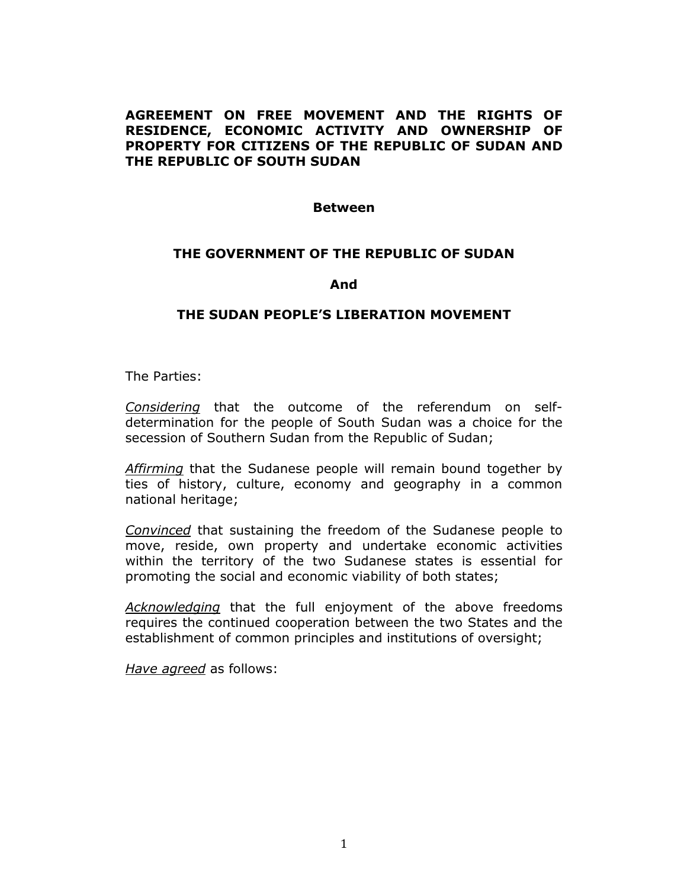## **AGREEMENT ON FREE MOVEMENT AND THE RIGHTS OF RESIDENCE, ECONOMIC ACTIVITY AND OWNERSHIP OF PROPERTY FOR CITIZENS OF THE REPUBLIC OF SUDAN AND THE REPUBLIC OF SOUTH SUDAN**

#### **Between**

## **THE GOVERNMENT OF THE REPUBLIC OF SUDAN**

#### **And**

#### **THE SUDAN PEOPLE'S LIBERATION MOVEMENT**

The Parties:

*Considering* that the outcome of the referendum on selfdetermination for the people of South Sudan was a choice for the secession of Southern Sudan from the Republic of Sudan;

*Affirming* that the Sudanese people will remain bound together by ties of history, culture, economy and geography in a common national heritage;

*Convinced* that sustaining the freedom of the Sudanese people to move, reside, own property and undertake economic activities within the territory of the two Sudanese states is essential for promoting the social and economic viability of both states;

*Acknowledging* that the full enjoyment of the above freedoms requires the continued cooperation between the two States and the establishment of common principles and institutions of oversight;

*Have agreed* as follows: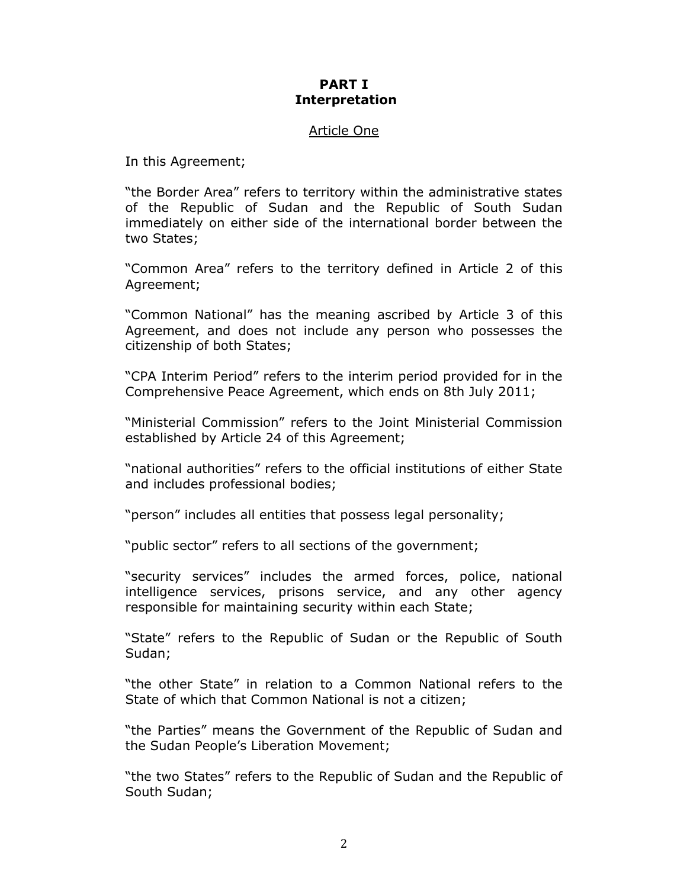## **PART I Interpretation**

#### Article One

In this Agreement;

"the Border Area" refers to territory within the administrative states of the Republic of Sudan and the Republic of South Sudan immediately on either side of the international border between the two States;

"Common Area" refers to the territory defined in Article 2 of this Agreement;

"Common National" has the meaning ascribed by Article 3 of this Agreement, and does not include any person who possesses the citizenship of both States;

"CPA Interim Period" refers to the interim period provided for in the Comprehensive Peace Agreement, which ends on 8th July 2011;

"Ministerial Commission" refers to the Joint Ministerial Commission established by Article 24 of this Agreement;

"national authorities" refers to the official institutions of either State and includes professional bodies;

"person" includes all entities that possess legal personality;

"public sector" refers to all sections of the government;

"security services" includes the armed forces, police, national intelligence services, prisons service, and any other agency responsible for maintaining security within each State;

"State" refers to the Republic of Sudan or the Republic of South Sudan;

"the other State" in relation to a Common National refers to the State of which that Common National is not a citizen;

"the Parties" means the Government of the Republic of Sudan and the Sudan People's Liberation Movement;

"the two States" refers to the Republic of Sudan and the Republic of South Sudan;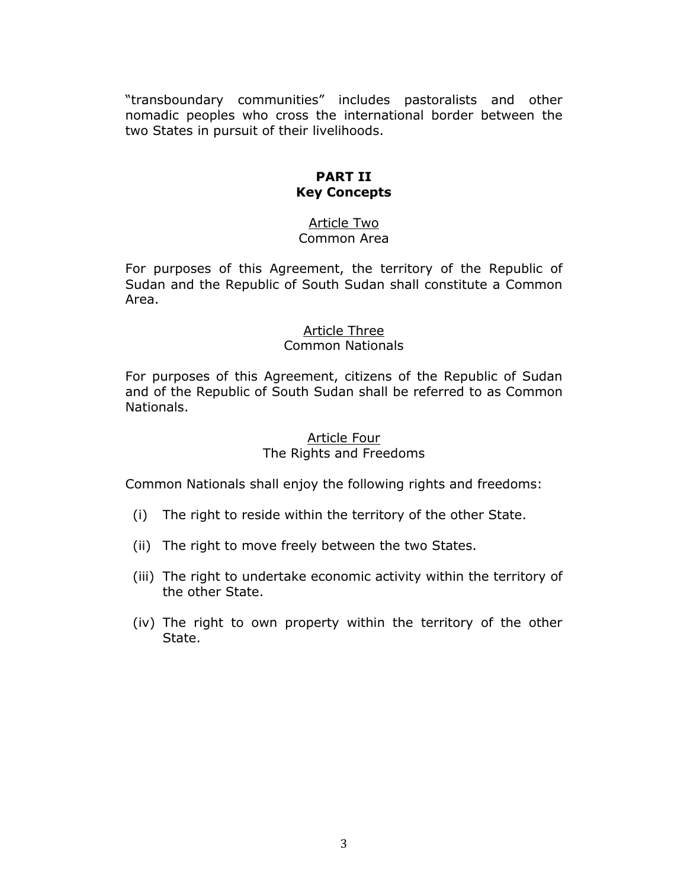"transboundary communities" includes pastoralists and other nomadic peoples who cross the international border between the two States in pursuit of their livelihoods.

# **PART II Key Concepts**

## Article Two Common Area

For purposes of this Agreement, the territory of the Republic of Sudan and the Republic of South Sudan shall constitute a Common Area.

#### Article Three Common Nationals

For purposes of this Agreement, citizens of the Republic of Sudan and of the Republic of South Sudan shall be referred to as Common Nationals.

## Article Four The Rights and Freedoms

Common Nationals shall enjoy the following rights and freedoms:

- (i) The right to reside within the territory of the other State.
- (ii) The right to move freely between the two States.
- (iii) The right to undertake economic activity within the territory of the other State.
- (iv) The right to own property within the territory of the other State.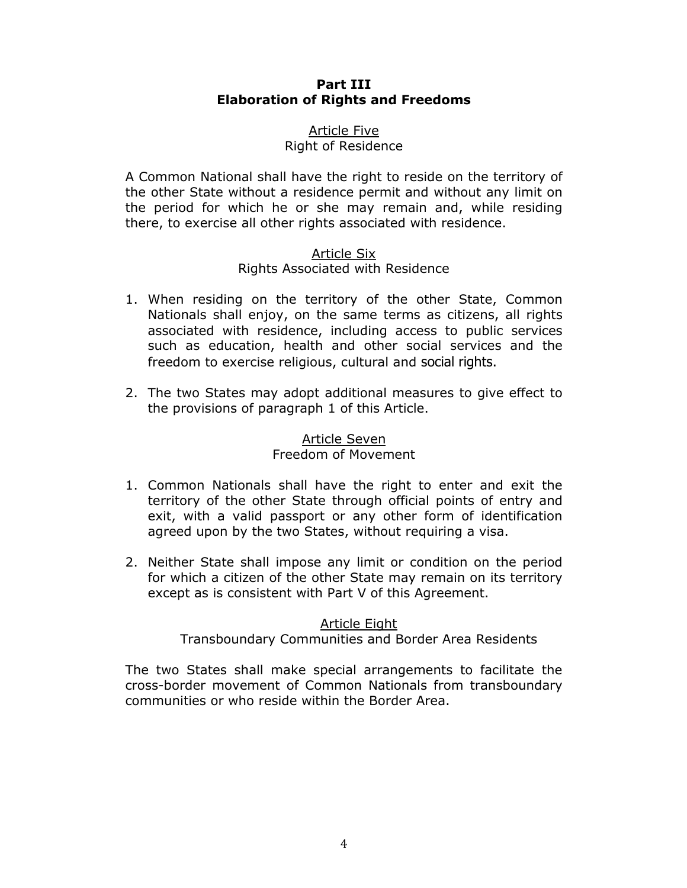## **Part III Elaboration of Rights and Freedoms**

## Article Five Right of Residence

A Common National shall have the right to reside on the territory of the other State without a residence permit and without any limit on the period for which he or she may remain and, while residing there, to exercise all other rights associated with residence.

## Article Six

# Rights Associated with Residence

- 1. When residing on the territory of the other State, Common Nationals shall enjoy, on the same terms as citizens, all rights associated with residence, including access to public services such as education, health and other social services and the freedom to exercise religious, cultural and social rights.
- 2. The two States may adopt additional measures to give effect to the provisions of paragraph 1 of this Article.

# Article Seven Freedom of Movement

- 1. Common Nationals shall have the right to enter and exit the territory of the other State through official points of entry and exit, with a valid passport or any other form of identification agreed upon by the two States, without requiring a visa.
- 2. Neither State shall impose any limit or condition on the period for which a citizen of the other State may remain on its territory except as is consistent with Part V of this Agreement.

# Article Eight

Transboundary Communities and Border Area Residents

The two States shall make special arrangements to facilitate the cross-border movement of Common Nationals from transboundary communities or who reside within the Border Area.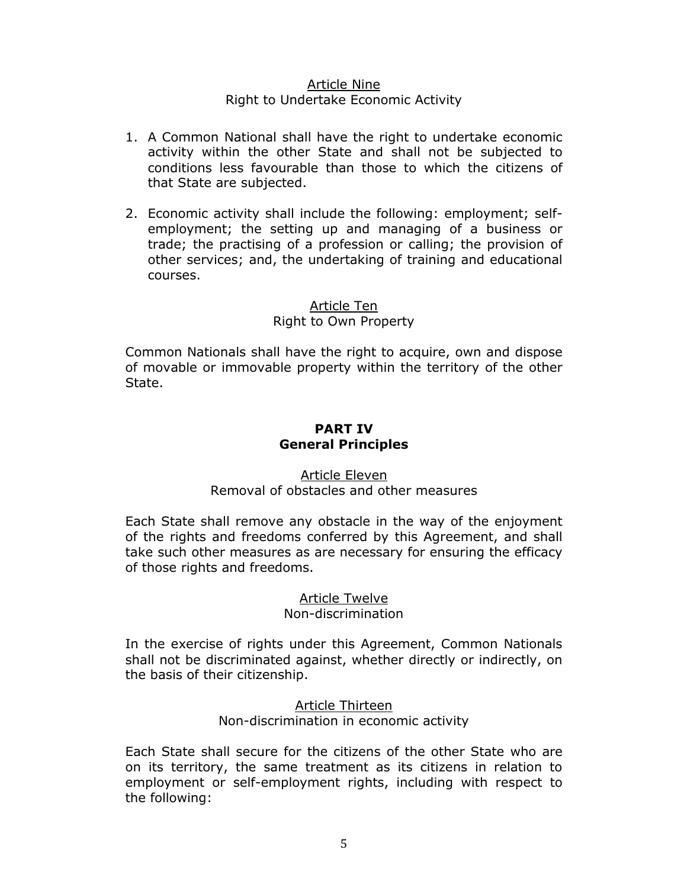## Article Nine Right to Undertake Economic Activity

- 1. A Common National shall have the right to undertake economic activity within the other State and shall not be subjected to conditions less favourable than those to which the citizens of that State are subjected.
- 2. Economic activity shall include the following: employment; selfemployment; the setting up and managing of a business or trade; the practising of a profession or calling; the provision of other services; and, the undertaking of training and educational courses.

## Article Ten

# Right to Own Property

Common Nationals shall have the right to acquire, own and dispose of movable or immovable property within the territory of the other State.

# **PART IV General Principles**

## Article Eleven Removal of obstacles and other measures

Each State shall remove any obstacle in the way of the enjoyment of the rights and freedoms conferred by this Agreement, and shall take such other measures as are necessary for ensuring the efficacy of those rights and freedoms.

# Article Twelve

## Non-discrimination

In the exercise of rights under this Agreement, Common Nationals shall not be discriminated against, whether directly or indirectly, on the basis of their citizenship.

#### Article Thirteen Non-discrimination in economic activity

Each State shall secure for the citizens of the other State who are on its territory, the same treatment as its citizens in relation to employment or self-employment rights, including with respect to the following: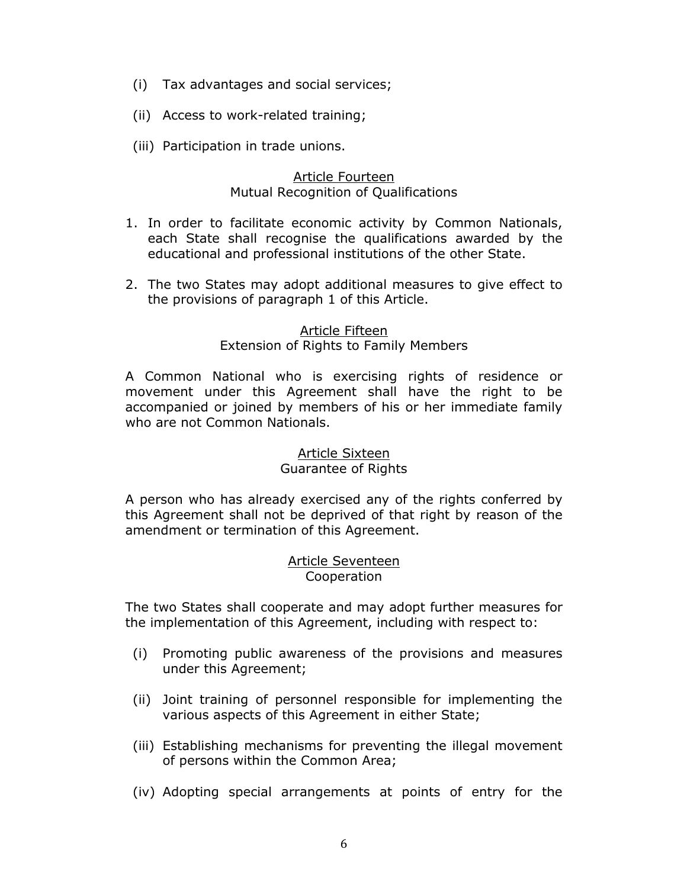- (i) Tax advantages and social services;
- (ii) Access to work-related training;
- (iii) Participation in trade unions.

## Article Fourteen Mutual Recognition of Qualifications

- 1. In order to facilitate economic activity by Common Nationals, each State shall recognise the qualifications awarded by the educational and professional institutions of the other State.
- 2. The two States may adopt additional measures to give effect to the provisions of paragraph 1 of this Article.

#### Article Fifteen Extension of Rights to Family Members

A Common National who is exercising rights of residence or movement under this Agreement shall have the right to be accompanied or joined by members of his or her immediate family who are not Common Nationals.

# Article Sixteen

## Guarantee of Rights

A person who has already exercised any of the rights conferred by this Agreement shall not be deprived of that right by reason of the amendment or termination of this Agreement.

## Article Seventeen Cooperation

The two States shall cooperate and may adopt further measures for the implementation of this Agreement, including with respect to:

- (i) Promoting public awareness of the provisions and measures under this Agreement;
- (ii) Joint training of personnel responsible for implementing the various aspects of this Agreement in either State;
- (iii) Establishing mechanisms for preventing the illegal movement of persons within the Common Area;
- (iv) Adopting special arrangements at points of entry for the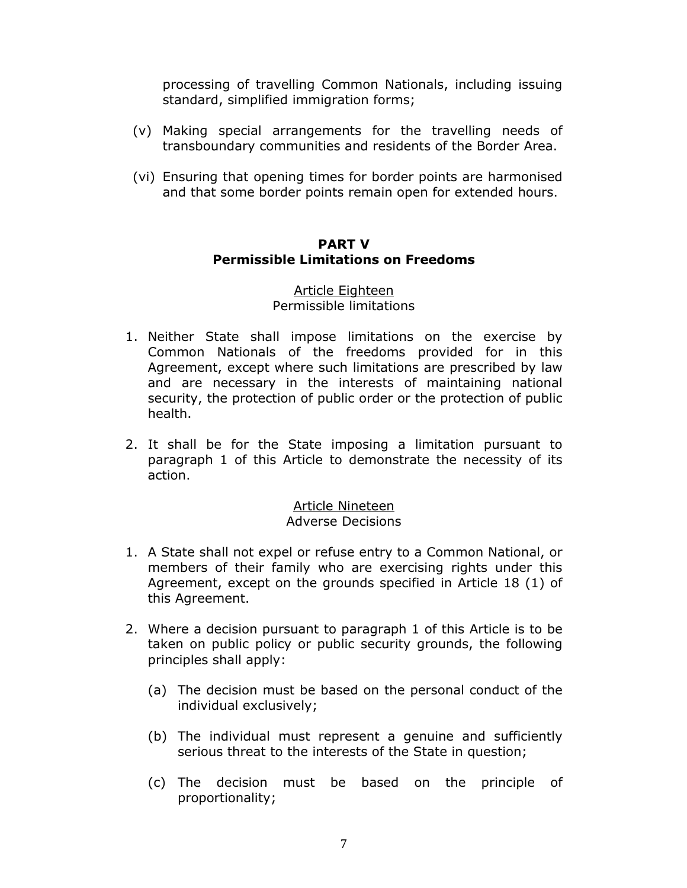processing of travelling Common Nationals, including issuing standard, simplified immigration forms;

- (v) Making special arrangements for the travelling needs of transboundary communities and residents of the Border Area.
- (vi) Ensuring that opening times for border points are harmonised and that some border points remain open for extended hours.

## **PART V Permissible Limitations on Freedoms**

#### Article Eighteen Permissible limitations

- 1. Neither State shall impose limitations on the exercise by Common Nationals of the freedoms provided for in this Agreement, except where such limitations are prescribed by law and are necessary in the interests of maintaining national security, the protection of public order or the protection of public health.
- 2. It shall be for the State imposing a limitation pursuant to paragraph 1 of this Article to demonstrate the necessity of its action.

## Article Nineteen Adverse Decisions

- 1. A State shall not expel or refuse entry to a Common National, or members of their family who are exercising rights under this Agreement, except on the grounds specified in Article 18 (1) of this Agreement.
- 2. Where a decision pursuant to paragraph 1 of this Article is to be taken on public policy or public security grounds, the following principles shall apply:
	- (a) The decision must be based on the personal conduct of the individual exclusively;
	- (b) The individual must represent a genuine and sufficiently serious threat to the interests of the State in question;
	- (c) The decision must be based on the principle of proportionality;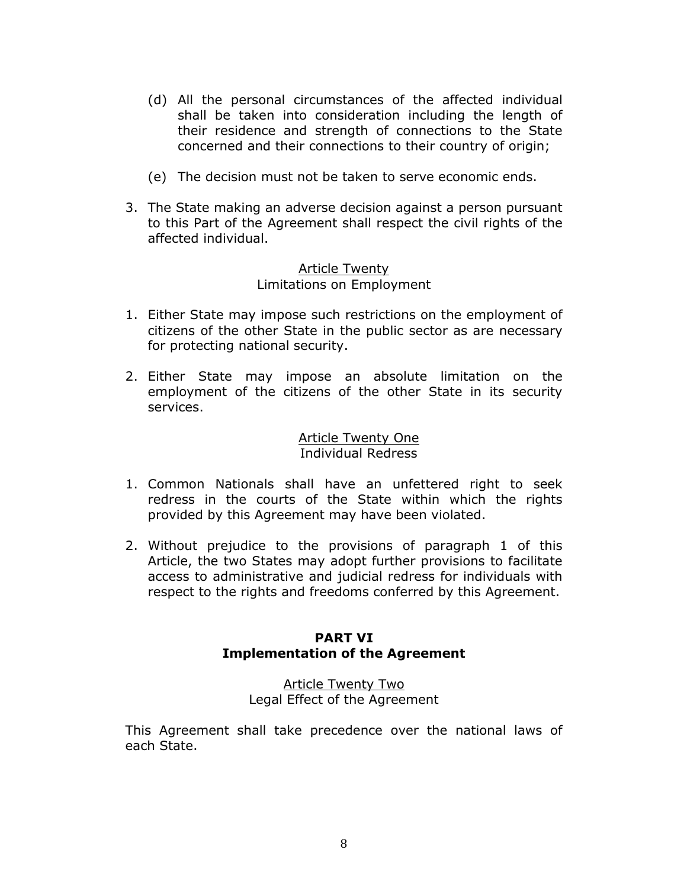- (d) All the personal circumstances of the affected individual shall be taken into consideration including the length of their residence and strength of connections to the State concerned and their connections to their country of origin;
- (e) The decision must not be taken to serve economic ends.
- 3. The State making an adverse decision against a person pursuant to this Part of the Agreement shall respect the civil rights of the affected individual.

## Article Twenty Limitations on Employment

- 1. Either State may impose such restrictions on the employment of citizens of the other State in the public sector as are necessary for protecting national security.
- 2. Either State may impose an absolute limitation on the employment of the citizens of the other State in its security services.

## Article Twenty One Individual Redress

- 1. Common Nationals shall have an unfettered right to seek redress in the courts of the State within which the rights provided by this Agreement may have been violated.
- 2. Without prejudice to the provisions of paragraph 1 of this Article, the two States may adopt further provisions to facilitate access to administrative and judicial redress for individuals with respect to the rights and freedoms conferred by this Agreement.

## **PART VI Implementation of the Agreement**

## Article Twenty Two Legal Effect of the Agreement

This Agreement shall take precedence over the national laws of each State.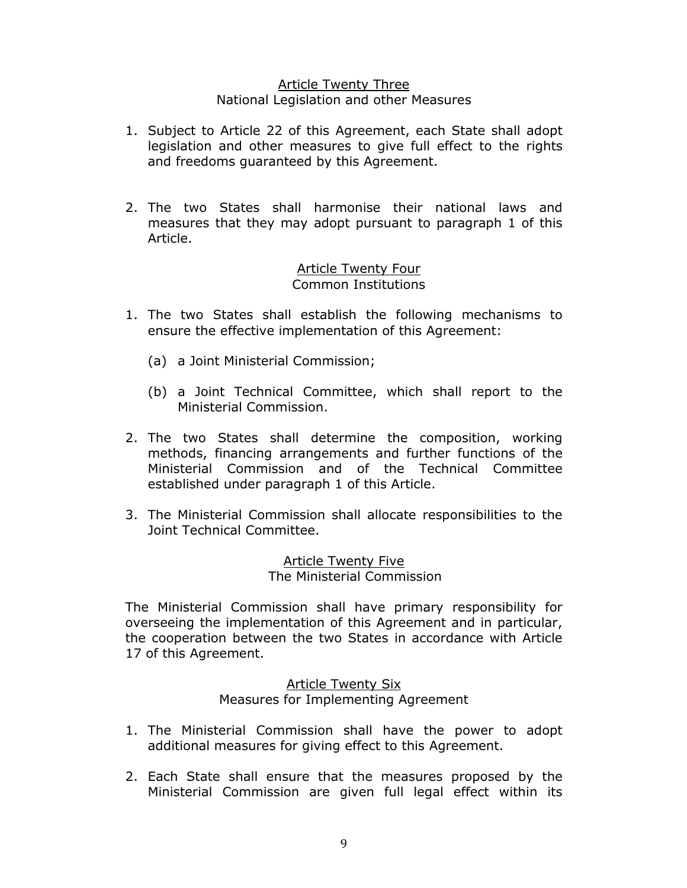## Article Twenty Three National Legislation and other Measures

- 1. Subject to Article 22 of this Agreement, each State shall adopt legislation and other measures to give full effect to the rights and freedoms guaranteed by this Agreement.
- 2. The two States shall harmonise their national laws and measures that they may adopt pursuant to paragraph 1 of this Article.

## Article Twenty Four Common Institutions

- 1. The two States shall establish the following mechanisms to ensure the effective implementation of this Agreement:
	- (a) a Joint Ministerial Commission;
	- (b) a Joint Technical Committee, which shall report to the Ministerial Commission.
- 2. The two States shall determine the composition, working methods, financing arrangements and further functions of the Ministerial Commission and of the Technical Committee established under paragraph 1 of this Article.
- 3. The Ministerial Commission shall allocate responsibilities to the Joint Technical Committee.

Article Twenty Five The Ministerial Commission

The Ministerial Commission shall have primary responsibility for overseeing the implementation of this Agreement and in particular, the cooperation between the two States in accordance with Article 17 of this Agreement.

# Article Twenty Six Measures for Implementing Agreement

- 1. The Ministerial Commission shall have the power to adopt additional measures for giving effect to this Agreement.
- 2. Each State shall ensure that the measures proposed by the Ministerial Commission are given full legal effect within its